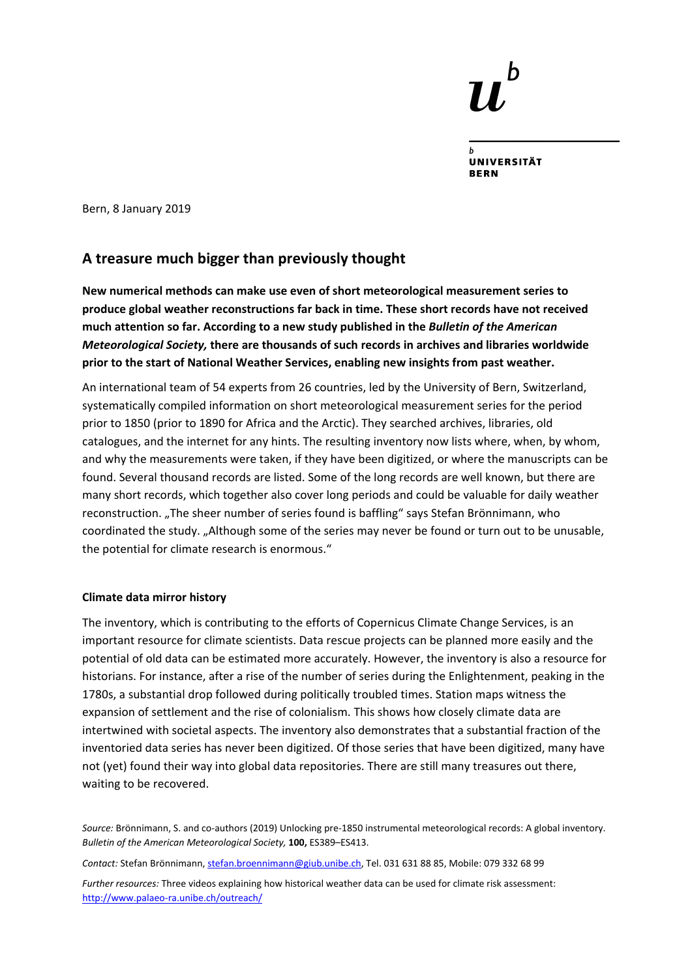**UNIVERSITÄT** 

Bern, 8 January 2019

## **A treasure much bigger than previously thought**

**New numerical methods can make use even of short meteorological measurement series to produce global weather reconstructions far back in time. These short records have not received much attention so far. According to a new study published in the** *Bulletin of the American Meteorological Society,* **there are thousands of such records in archives and libraries worldwide prior to the start of National Weather Services, enabling new insights from past weather.** 

An international team of 54 experts from 26 countries, led by the University of Bern, Switzerland, systematically compiled information on short meteorological measurement series for the period prior to 1850 (prior to 1890 for Africa and the Arctic). They searched archives, libraries, old catalogues, and the internet for any hints. The resulting inventory now lists where, when, by whom, and why the measurements were taken, if they have been digitized, or where the manuscripts can be found. Several thousand records are listed. Some of the long records are well known, but there are many short records, which together also cover long periods and could be valuable for daily weather reconstruction. "The sheer number of series found is baffling" says Stefan Brönnimann, who coordinated the study. "Although some of the series may never be found or turn out to be unusable, the potential for climate research is enormous."

## **Climate data mirror history**

The inventory, which is contributing to the efforts of Copernicus Climate Change Services, is an important resource for climate scientists. Data rescue projects can be planned more easily and the potential of old data can be estimated more accurately. However, the inventory is also a resource for historians. For instance, after a rise of the number of series during the Enlightenment, peaking in the 1780s, a substantial drop followed during politically troubled times. Station maps witness the expansion of settlement and the rise of colonialism. This shows how closely climate data are intertwined with societal aspects. The inventory also demonstrates that a substantial fraction of the inventoried data series has never been digitized. Of those series that have been digitized, many have not (yet) found their way into global data repositories. There are still many treasures out there, waiting to be recovered.

*Source:* Brönnimann, S. and co‐authors (2019) Unlocking pre‐1850 instrumental meteorological records: A global inventory. *Bulletin of the American Meteorological Society,* **100,** ES389–ES413.

*Contact:* Stefan Brönnimann, stefan.broennimann@giub.unibe.ch, Tel. 031 631 88 85, Mobile: 079 332 68 99

*Further resources:* Three videos explaining how historical weather data can be used for climate risk assessment: http://www.palaeo‐ra.unibe.ch/outreach/